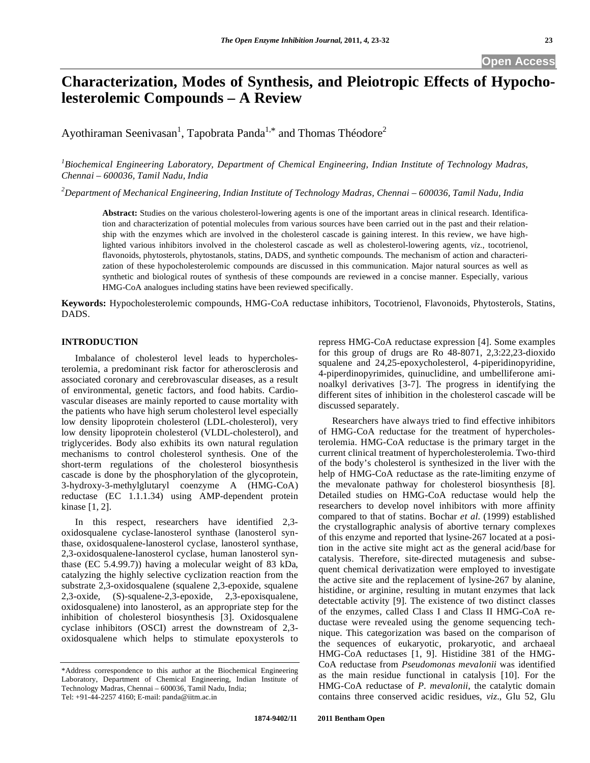# **Characterization, Modes of Synthesis, and Pleiotropic Effects of Hypocholesterolemic Compounds – A Review**

Ayothiraman Seenivasan<sup>1</sup>, Tapobrata Panda<sup>1,\*</sup> and Thomas Théodore<sup>2</sup>

<sup>1</sup> Biochemical Engineering Laboratory, Department of Chemical Engineering, Indian Institute of Technology Madras, *Chennai – 600036, Tamil Nadu, India* 

*2 Department of Mechanical Engineering, Indian Institute of Technology Madras, Chennai – 600036, Tamil Nadu, India* 

**Abstract:** Studies on the various cholesterol-lowering agents is one of the important areas in clinical research. Identification and characterization of potential molecules from various sources have been carried out in the past and their relationship with the enzymes which are involved in the cholesterol cascade is gaining interest. In this review, we have highlighted various inhibitors involved in the cholesterol cascade as well as cholesterol-lowering agents, *viz*., tocotrienol, flavonoids, phytosterols, phytostanols, statins, DADS, and synthetic compounds. The mechanism of action and characterization of these hypocholesterolemic compounds are discussed in this communication. Major natural sources as well as synthetic and biological routes of synthesis of these compounds are reviewed in a concise manner. Especially, various HMG-CoA analogues including statins have been reviewed specifically.

**Keywords:** Hypocholesterolemic compounds, HMG-CoA reductase inhibitors, Tocotrienol, Flavonoids, Phytosterols, Statins, DADS.

## **INTRODUCTION**

 Imbalance of cholesterol level leads to hypercholesterolemia, a predominant risk factor for atherosclerosis and associated coronary and cerebrovascular diseases, as a result of environmental, genetic factors, and food habits. Cardiovascular diseases are mainly reported to cause mortality with the patients who have high serum cholesterol level especially low density lipoprotein cholesterol (LDL-cholesterol), very low density lipoprotein cholesterol (VLDL-cholesterol), and triglycerides. Body also exhibits its own natural regulation mechanisms to control cholesterol synthesis. One of the short-term regulations of the cholesterol biosynthesis cascade is done by the phosphorylation of the glycoprotein, 3-hydroxy-3-methylglutaryl coenzyme A (HMG-CoA) reductase (EC 1.1.1.34) using AMP-dependent protein kinase [1, 2].

 In this respect, researchers have identified 2,3 oxidosqualene cyclase-lanosterol synthase (lanosterol synthase, oxidosqualene-lanosterol cyclase, lanosterol synthase, 2,3-oxidosqualene-lanosterol cyclase, human lanosterol synthase (EC 5.4.99.7)) having a molecular weight of 83 kDa, catalyzing the highly selective cyclization reaction from the substrate 2,3-oxidosqualene (squalene 2,3-epoxide, squalene 2,3-oxide, (S)-squalene-2,3-epoxide, 2,3-epoxisqualene, oxidosqualene) into lanosterol, as an appropriate step for the inhibition of cholesterol biosynthesis [3]. Oxidosqualene cyclase inhibitors (OSCI) arrest the downstream of 2,3 oxidosqualene which helps to stimulate epoxysterols to repress HMG-CoA reductase expression [4]. Some examples for this group of drugs are Ro 48-8071, 2,3:22,23-dioxido squalene and 24,25-epoxycholesterol, 4-piperidinopyridine, 4-piperdinopyrimides, quinuclidine, and umbelliferone aminoalkyl derivatives [3-7]. The progress in identifying the different sites of inhibition in the cholesterol cascade will be discussed separately.

 Researchers have always tried to find effective inhibitors of HMG-CoA reductase for the treatment of hypercholesterolemia. HMG-CoA reductase is the primary target in the current clinical treatment of hypercholesterolemia. Two-third of the body's cholesterol is synthesized in the liver with the help of HMG-CoA reductase as the rate-limiting enzyme of the mevalonate pathway for cholesterol biosynthesis [8]. Detailed studies on HMG-CoA reductase would help the researchers to develop novel inhibitors with more affinity compared to that of statins. Bochar *et al*. (1999) established the crystallographic analysis of abortive ternary complexes of this enzyme and reported that lysine-267 located at a position in the active site might act as the general acid/base for catalysis. Therefore, site-directed mutagenesis and subsequent chemical derivatization were employed to investigate the active site and the replacement of lysine-267 by alanine, histidine, or arginine, resulting in mutant enzymes that lack detectable activity [9]. The existence of two distinct classes of the enzymes, called Class I and Class II HMG-CoA reductase were revealed using the genome sequencing technique. This categorization was based on the comparison of the sequences of eukaryotic, prokaryotic, and archaeal HMG-CoA reductases [1, 9]. Histidine 381 of the HMG-CoA reductase from *Pseudomonas mevalonii* was identified as the main residue functional in catalysis [10]. For the HMG-CoA reductase of *P. mevalonii*, the catalytic domain contains three conserved acidic residues, *viz*., Glu 52, Glu

<sup>\*</sup>Address correspondence to this author at the Biochemical Engineering Laboratory, Department of Chemical Engineering, Indian Institute of Technology Madras, Chennai – 600036, Tamil Nadu, India; Tel: +91-44-2257 4160; E-mail: panda@iitm.ac.in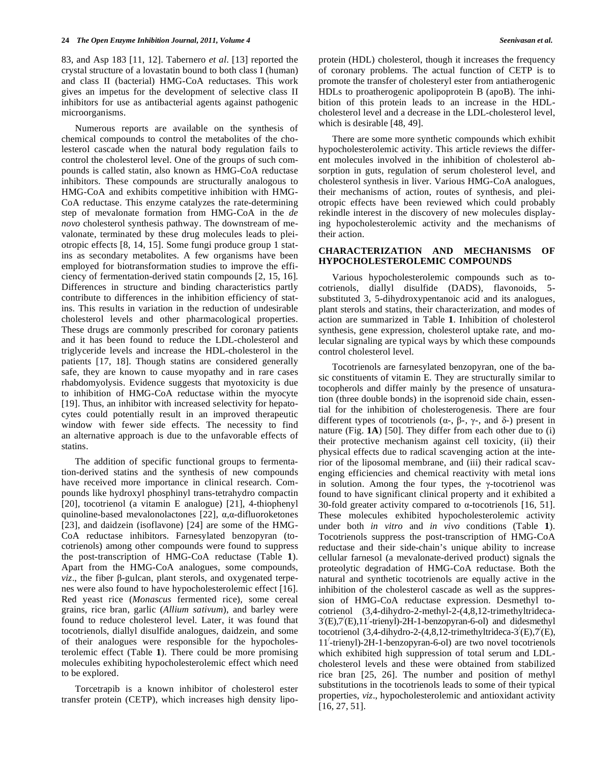83, and Asp 183 [11, 12]. Tabernero *et al*. [13] reported the crystal structure of a lovastatin bound to both class I (human) and class II (bacterial) HMG-CoA reductases. This work gives an impetus for the development of selective class II inhibitors for use as antibacterial agents against pathogenic microorganisms.

 Numerous reports are available on the synthesis of chemical compounds to control the metabolites of the cholesterol cascade when the natural body regulation fails to control the cholesterol level. One of the groups of such compounds is called statin, also known as HMG-CoA reductase inhibitors. These compounds are structurally analogous to HMG-CoA and exhibits competitive inhibition with HMG-CoA reductase. This enzyme catalyzes the rate-determining step of mevalonate formation from HMG-CoA in the *de novo* cholesterol synthesis pathway. The downstream of mevalonate, terminated by these drug molecules leads to pleiotropic effects [8, 14, 15]. Some fungi produce group 1 statins as secondary metabolites. A few organisms have been employed for biotransformation studies to improve the efficiency of fermentation-derived statin compounds [2, 15, 16]. Differences in structure and binding characteristics partly contribute to differences in the inhibition efficiency of statins. This results in variation in the reduction of undesirable cholesterol levels and other pharmacological properties. These drugs are commonly prescribed for coronary patients and it has been found to reduce the LDL-cholesterol and triglyceride levels and increase the HDL-cholesterol in the patients [17, 18]. Though statins are considered generally safe, they are known to cause myopathy and in rare cases rhabdomyolysis. Evidence suggests that myotoxicity is due to inhibition of HMG-CoA reductase within the myocyte [19]. Thus, an inhibitor with increased selectivity for hepatocytes could potentially result in an improved therapeutic window with fewer side effects. The necessity to find an alternative approach is due to the unfavorable effects of statins.

 The addition of specific functional groups to fermentation-derived statins and the synthesis of new compounds have received more importance in clinical research. Compounds like hydroxyl phosphinyl trans-tetrahydro compactin [20], tocotrienol (a vitamin E analogue) [21], 4-thiophenyl quinoline-based mevalonolactones [22],  $\alpha$ , $\alpha$ -difluoroketones [23], and daidzein (isoflavone) [24] are some of the HMG-CoA reductase inhibitors. Farnesylated benzopyran (tocotrienols) among other compounds were found to suppress the post-transcription of HMG-CoA reductase (Table **1**). Apart from the HMG-CoA analogues, some compounds,  $viz.$ , the fiber  $\beta$ -gulcan, plant sterols, and oxygenated terpenes were also found to have hypocholesterolemic effect [16]. Red yeast rice (*Monascus* fermented rice), some cereal grains, rice bran, garlic (*Allium sativum*), and barley were found to reduce cholesterol level. Later, it was found that tocotrienols, diallyl disulfide analogues, daidzein, and some of their analogues were responsible for the hypocholesterolemic effect (Table **1**). There could be more promising molecules exhibiting hypocholesterolemic effect which need to be explored.

 Torcetrapib is a known inhibitor of cholesterol ester transfer protein (CETP), which increases high density lipoprotein (HDL) cholesterol, though it increases the frequency of coronary problems. The actual function of CETP is to promote the transfer of cholesteryl ester from antiatherogenic HDLs to proatherogenic apolipoprotein B (apoB). The inhibition of this protein leads to an increase in the HDLcholesterol level and a decrease in the LDL-cholesterol level, which is desirable [48, 49].

 There are some more synthetic compounds which exhibit hypocholesterolemic activity. This article reviews the different molecules involved in the inhibition of cholesterol absorption in guts, regulation of serum cholesterol level, and cholesterol synthesis in liver. Various HMG-CoA analogues, their mechanisms of action, routes of synthesis, and pleiotropic effects have been reviewed which could probably rekindle interest in the discovery of new molecules displaying hypocholesterolemic activity and the mechanisms of their action.

## **CHARACTERIZATION AND MECHANISMS OF HYPOCHOLESTEROLEMIC COMPOUNDS**

Various hypocholesterolemic compounds such as tocotrienols, diallyl disulfide (DADS), flavonoids, 5 substituted 3, 5-dihydroxypentanoic acid and its analogues, plant sterols and statins, their characterization, and modes of action are summarized in Table **1**. Inhibition of cholesterol synthesis, gene expression, cholesterol uptake rate, and molecular signaling are typical ways by which these compounds control cholesterol level.

 Tocotrienols are farnesylated benzopyran, one of the basic constituents of vitamin E. They are structurally similar to tocopherols and differ mainly by the presence of unsaturation (three double bonds) in the isoprenoid side chain, essential for the inhibition of cholesterogenesis. There are four different types of tocotrienols  $(\alpha_{\tau}, \beta_{\tau}, \gamma_{\tau}, \alpha_{\tau})$  present in nature (Fig. **1A**) [50]. They differ from each other due to (i) their protective mechanism against cell toxicity, (ii) their physical effects due to radical scavenging action at the interior of the liposomal membrane, and (iii) their radical scavenging efficiencies and chemical reactivity with metal ions in solution. Among the four types, the  $\gamma$ -tocotrienol was found to have significant clinical property and it exhibited a 30-fold greater activity compared to  $\alpha$ -tocotrienols [16, 51]. These molecules exhibited hypocholesterolemic activity under both *in vitro* and *in vivo* conditions (Table **1**). Tocotrienols suppress the post-transcription of HMG-CoA reductase and their side-chain's unique ability to increase cellular farnesol (a mevalonate-derived product) signals the proteolytic degradation of HMG-CoA reductase. Both the natural and synthetic tocotrienols are equally active in the inhibition of the cholesterol cascade as well as the suppression of HMG-CoA reductase expression. Desmethyl tocotrienol (3,4-dihydro-2-methyl-2-(4,8,12-trimethyltrideca- $3'(E)$ , $7'(E)$ , $11'$ -trienyl)-2H-1-benzopyran-6-ol) and didesmethyl tocotrienol (3,4-dihydro-2-(4,8,12-trimethyltrideca-3 $(E)$ ,7 $(E)$ ), 11/ -trienyl)-2H-1-benzopyran-6-ol) are two novel tocotrienols which exhibited high suppression of total serum and LDLcholesterol levels and these were obtained from stabilized rice bran [25, 26]. The number and position of methyl substitutions in the tocotrienols leads to some of their typical properties, *viz*., hypocholesterolemic and antioxidant activity [16, 27, 51].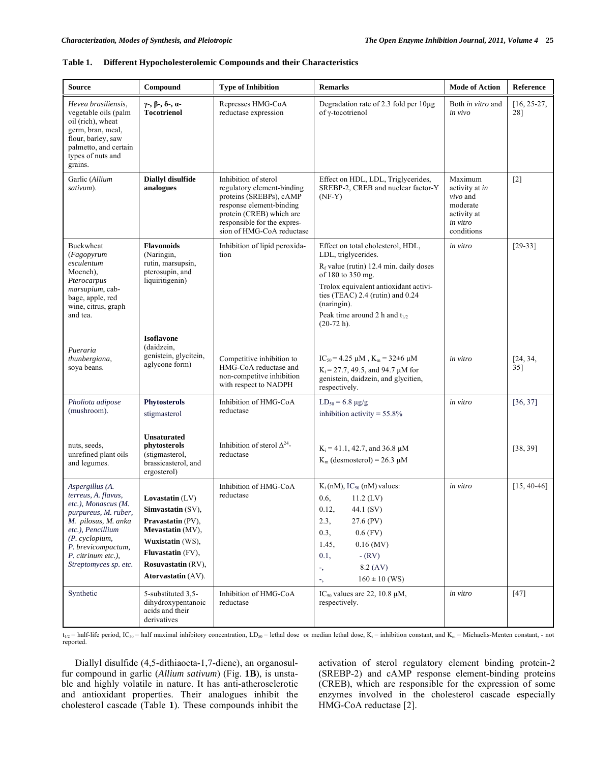| <b>Source</b>                                                                                                                                                                                                            | Compound                                                                                                                                                                           | <b>Type of Inhibition</b>                                                                                                                                                                         | <b>Remarks</b>                                                                                                                                                                                                                                                               | <b>Mode of Action</b>                                                                        | <b>Reference</b>     |
|--------------------------------------------------------------------------------------------------------------------------------------------------------------------------------------------------------------------------|------------------------------------------------------------------------------------------------------------------------------------------------------------------------------------|---------------------------------------------------------------------------------------------------------------------------------------------------------------------------------------------------|------------------------------------------------------------------------------------------------------------------------------------------------------------------------------------------------------------------------------------------------------------------------------|----------------------------------------------------------------------------------------------|----------------------|
| Hevea brasiliensis,<br>vegetable oils (palm<br>oil (rich), wheat<br>germ, bran, meal,<br>flour, barley, saw<br>palmetto, and certain<br>types of nuts and<br>grains.                                                     | $\gamma$ -, $\beta$ -, $\delta$ -, $\alpha$ -<br><b>Tocotrienol</b>                                                                                                                | Represses HMG-CoA<br>reductase expression                                                                                                                                                         | Degradation rate of 2.3 fold per 10µg<br>of γ-tocotrienol                                                                                                                                                                                                                    | Both in vitro and<br>in vivo                                                                 | $[16, 25-27,$<br>28] |
| Garlic (Allium<br>sativum).                                                                                                                                                                                              | Diallyl disulfide<br>analogues                                                                                                                                                     | Inhibition of sterol<br>regulatory element-binding<br>proteins (SREBPs), cAMP<br>response element-binding<br>protein (CREB) which are<br>responsible for the expres-<br>sion of HMG-CoA reductase | Effect on HDL, LDL, Triglycerides,<br>SREBP-2, CREB and nuclear factor-Y<br>$(NF-Y)$                                                                                                                                                                                         | Maximum<br>activity at in<br>$vivo$ and<br>moderate<br>activity at<br>in vitro<br>conditions | $[2]$                |
| Buckwheat<br>(Fagopyrum<br>esculentum<br>Moench).<br>Pterocarpus<br>marsupium, cab-<br>bage, apple, red<br>wine, citrus, graph<br>and tea.                                                                               | <b>Flavonoids</b><br>(Naringin,<br>rutin, marsupsin,<br>pterosupin, and<br>liquiritigenin)                                                                                         | Inhibition of lipid peroxida-<br>tion                                                                                                                                                             | Effect on total cholesterol, HDL,<br>LDL, triglycerides.<br>$R_f$ value (rutin) 12.4 min. daily doses<br>of 180 to 350 mg.<br>Trolox equivalent antioxidant activi-<br>ties (TEAC) 2.4 (rutin) and 0.24<br>(naringin).<br>Peak time around 2 h and $t_{1/2}$<br>$(20-72 h).$ | in vitro                                                                                     | $[29-33]$            |
| Pueraria<br>thunbergiana,<br>soya beans.                                                                                                                                                                                 | <b>Isoflavone</b><br>(daidzein,<br>genistein, glycitein,<br>aglycone form)                                                                                                         | Competitive inhibition to<br>HMG-CoA reductase and<br>non-competitve inhibition<br>with respect to NADPH                                                                                          | $IC_{50} = 4.25 \mu M$ , $K_m = 32 \pm 6 \mu M$<br>$K_i = 27.7, 49.5, and 94.7 \mu M$ for<br>genistein, daidzein, and glycitien,<br>respectively.                                                                                                                            | in vitro                                                                                     | [24, 34,<br>35]      |
| Pholiota adipose<br>(mushroom).                                                                                                                                                                                          | <b>Phytosterols</b><br>stigmasterol                                                                                                                                                | Inhibition of HMG-CoA<br>reductase                                                                                                                                                                | $LD_{50} = 6.8 \text{ µg/g}$<br>inhibition activity = $55.8\%$                                                                                                                                                                                                               | in vitro                                                                                     | [36, 37]             |
| nuts, seeds,<br>unrefined plant oils<br>and legumes.                                                                                                                                                                     | Unsaturated<br>phytosterols<br>(stigmasterol,<br>brassicasterol, and<br>ergosterol)                                                                                                | Inhibition of sterol $\Delta^{24}$ -<br>reductase                                                                                                                                                 | $K_i = 41.1, 42.7,$ and 36.8 µM<br>$K_m$ (desmosterol) = 26.3 µM                                                                                                                                                                                                             |                                                                                              | [38, 39]             |
| Aspergillus (A.<br>terreus, A. flavus,<br>etc.), Monascus (M.<br>purpureus, M. ruber,<br>M. pilosus, M. anka<br>etc.), Pencillium<br>(P. cyclopium,<br>P. brevicompactum,<br>P. citrinum etc.),<br>Streptomyces sp. etc. | Lovastatin $(LV)$<br>Simvastatin (SV),<br>Pravastatin (PV),<br>Mevastatin (MV),<br>Wuxistatin (WS),<br><b>Fluvastatin</b> (FV),<br><b>Rosuvastatin (RV).</b><br>Atorvastatin (AV). | Inhibition of HMG-CoA<br>reductase                                                                                                                                                                | $K_i$ (nM), $IC_{50}$ (nM) values:<br>0.6.<br>11.2 (LV)<br>0.12,<br>44.1 (SV)<br>2.3,<br>27.6 (PV)<br>0.3,<br>$0.6$ (FV)<br>1.45,<br>$0.16$ (MV)<br>0.1,<br>$-$ (RV)<br>8.2 (AV)<br>۰,<br>$160 \pm 10$ (WS)<br>۰,                                                            | in vitro                                                                                     | $[15, 40-46]$        |
| Synthetic                                                                                                                                                                                                                | 5-substituted 3,5-<br>dihydroxypentanoic<br>acids and their<br>derivatives                                                                                                         | Inhibition of HMG-CoA<br>reductase                                                                                                                                                                | IC <sub>50</sub> values are 22, 10.8 $\mu$ M,<br>respectively.                                                                                                                                                                                                               | in vitro                                                                                     | $[47]$               |

#### **Table 1. Different Hypocholesterolemic Compounds and their Characteristics**

 $t_{1/2}$  = half-life period, IC<sub>50</sub> = half maximal inhibitory concentration, LD<sub>50</sub> = lethal dose or median lethal dose, K<sub>i</sub> = inhibition constant, and K<sub>m</sub> = Michaelis-Menten constant, - not reported.

 Diallyl disulfide (4,5-dithiaocta-1,7-diene), an organosulfur compound in garlic (*Allium sativum*) (Fig. **1B**), is unstable and highly volatile in nature. It has anti-atherosclerotic and antioxidant properties. Their analogues inhibit the cholesterol cascade (Table **1**). These compounds inhibit the activation of sterol regulatory element binding protein-2 (SREBP-2) and cAMP response element-binding proteins (CREB), which are responsible for the expression of some enzymes involved in the cholesterol cascade especially HMG-CoA reductase [2].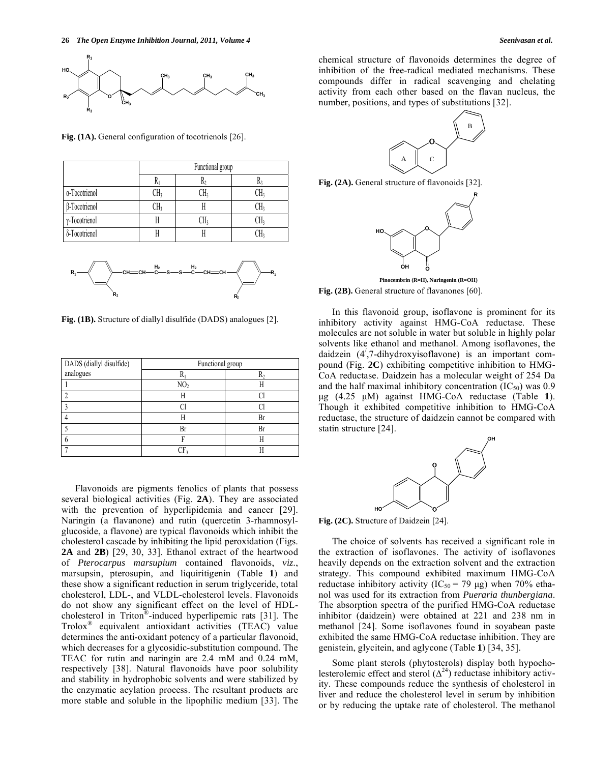

Fig. (1A). General configuration of tocotrienols [26].

|               | Functional group |     |     |
|---------------|------------------|-----|-----|
|               |                  |     |     |
| α-Tocotrienol | CH3              | CH3 | CH, |
| β-Tocotrienol | JΗ,              |     | CH: |
| γ-Tocotrienol |                  | CH: | CH, |
| δ-Tocotrienol |                  |     |     |



**Fig. (1B).** Structure of diallyl disulfide (DADS) analogues [2].

| DADS (diallyl disulfide) | Functional group |    |  |
|--------------------------|------------------|----|--|
| analogues                |                  |    |  |
|                          | NO <sub>2</sub>  |    |  |
|                          | H                |    |  |
|                          |                  |    |  |
|                          |                  | Bı |  |
|                          | Br               | B  |  |
|                          |                  |    |  |
|                          |                  |    |  |

 Flavonoids are pigments fenolics of plants that possess several biological activities (Fig. **2A**). They are associated with the prevention of hyperlipidemia and cancer [29]. Naringin (a flavanone) and rutin (quercetin 3-rhamnosylglucoside, a flavone) are typical flavonoids which inhibit the cholesterol cascade by inhibiting the lipid peroxidation (Figs. **2A** and **2B**) [29, 30, 33]. Ethanol extract of the heartwood of *Pterocarpus marsupium* contained flavonoids, *viz*., marsupsin, pterosupin, and liquiritigenin (Table **1**) and these show a significant reduction in serum triglyceride, total cholesterol, LDL-, and VLDL-cholesterol levels. Flavonoids do not show any significant effect on the level of HDLcholesterol in Triton®-induced hyperlipemic rats [31]. The Trolox® equivalent antioxidant activities (TEAC) value determines the anti-oxidant potency of a particular flavonoid, which decreases for a glycosidic-substitution compound. The TEAC for rutin and naringin are 2.4 mM and 0.24 mM, respectively [38]. Natural flavonoids have poor solubility and stability in hydrophobic solvents and were stabilized by the enzymatic acylation process. The resultant products are more stable and soluble in the lipophilic medium [33]. The chemical structure of flavonoids determines the degree of inhibition of the free-radical mediated mechanisms. These compounds differ in radical scavenging and chelating activity from each other based on the flavan nucleus, the number, positions, and types of substitutions [32].



**Fig. (2A).** General structure of flavonoids [32].



Fig. (2B). General structure of flavanones [60]. **Pinocembrin (R=H), Naringenin (R=OH)**

 In this flavonoid group, isoflavone is prominent for its inhibitory activity against HMG-CoA reductase. These molecules are not soluble in water but soluble in highly polar solvents like ethanol and methanol. Among isoflavones, the daidzein (4/ ,7-dihydroxyisoflavone) is an important compound (Fig. **2C**) exhibiting competitive inhibition to HMG-CoA reductase. Daidzein has a molecular weight of 254 Da and the half maximal inhibitory concentration  $(IC_{50})$  was 0.9 μg (4.25 μM) against HMG-CoA reductase (Table **1**). Though it exhibited competitive inhibition to HMG-CoA reductase, the structure of daidzein cannot be compared with statin structure [24].



**Fig. (2C).** Structure of Daidzein [24].

 The choice of solvents has received a significant role in the extraction of isoflavones. The activity of isoflavones heavily depends on the extraction solvent and the extraction strategy. This compound exhibited maximum HMG-CoA reductase inhibitory activity (IC<sub>50</sub> = 79 µg) when 70% ethanol was used for its extraction from *Pueraria thunbergiana*. The absorption spectra of the purified HMG-CoA reductase inhibitor (daidzein) were obtained at 221 and 238 nm in methanol [24]. Some isoflavones found in soyabean paste exhibited the same HMG-CoA reductase inhibition. They are genistein, glycitein, and aglycone (Table **1**) [34, 35].

 Some plant sterols (phytosterols) display both hypocholesterolemic effect and sterol  $(\Delta^{24})$  reductase inhibitory activity. These compounds reduce the synthesis of cholesterol in liver and reduce the cholesterol level in serum by inhibition or by reducing the uptake rate of cholesterol. The methanol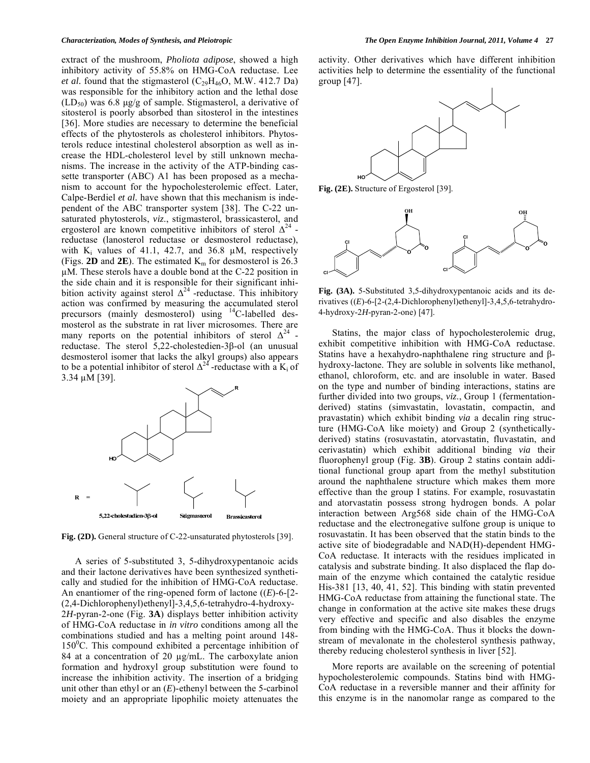extract of the mushroom, *Pholiota adipose*, showed a high inhibitory activity of 55.8% on HMG-CoA reductase. Lee *et al.* found that the stigmasterol  $(C_{29}H_{46}O, M.W. 412.7 Da)$ was responsible for the inhibitory action and the lethal dose  $(LD_{50})$  was 6.8 μg/g of sample. Stigmasterol, a derivative of sitosterol is poorly absorbed than sitosterol in the intestines [36]. More studies are necessary to determine the beneficial effects of the phytosterols as cholesterol inhibitors. Phytosterols reduce intestinal cholesterol absorption as well as increase the HDL-cholesterol level by still unknown mechanisms. The increase in the activity of the ATP-binding cassette transporter (ABC) A1 has been proposed as a mechanism to account for the hypocholesterolemic effect. Later, Calpe-Berdiel *et al.* have shown that this mechanism is independent of the ABC transporter system [38]. The C-22 unsaturated phytosterols, *viz*., stigmasterol, brassicasterol, and ergosterol are known competitive inhibitors of sterol  $\Delta^{24}$  reductase (lanosterol reductase or desmosterol reductase), with  $K_i$  values of 41.1, 42.7, and 36.8  $\mu$ M, respectively (Figs. **2D** and **2E**). The estimated  $K_m$  for desmosterol is 26.3 M. These sterols have a double bond at the C-22 position in the side chain and it is responsible for their significant inhibition activity against sterol  $\Delta^{24}$  -reductase. This inhibitory action was confirmed by measuring the accumulated sterol precursors (mainly desmosterol) using 14C-labelled desmosterol as the substrate in rat liver microsomes. There are many reports on the potential inhibitors of sterol  $\Delta^{24}$  reductase. The sterol  $5,22$ -cholestedien-3 $\beta$ -ol (an unusual desmosterol isomer that lacks the alkyl groups) also appears to be a potential inhibitor of sterol  $\Delta^{24}$ -reductase with a K<sub>i</sub> of  $3.34 \mu M$  [39].



**Fig. (2D).** General structure of C-22-unsaturated phytosterols [39].

 A series of 5-substituted 3, 5-dihydroxypentanoic acids and their lactone derivatives have been synthesized synthetically and studied for the inhibition of HMG-CoA reductase. An enantiomer of the ring-opened form of lactone ((*E*)-6-[2- (2,4-Dichlorophenyl)ethenyl]-3,4,5,6-tetrahydro-4-hydroxy-2*H*-pyran-2-one (Fig. **3A**) displays better inhibition activity of HMG-CoA reductase in *in vitro* conditions among all the combinations studied and has a melting point around 148- 150<sup>°</sup>C. This compound exhibited a percentage inhibition of 84 at a concentration of 20  $\mu$ g/mL. The carboxylate anion formation and hydroxyl group substitution were found to increase the inhibition activity. The insertion of a bridging unit other than ethyl or an (*E*)-ethenyl between the 5-carbinol moiety and an appropriate lipophilic moiety attenuates the

activity. Other derivatives which have different inhibition activities help to determine the essentiality of the functional group [47].



**Fig. (2E).** Structure of Ergosterol [39].



**Fig. (3A).** 5-Substituted 3,5-dihydroxypentanoic acids and its derivatives ((*E*)-6-[2-(2,4-Dichlorophenyl)ethenyl]-3,4,5,6-tetrahydro-4-hydroxy-2*H*-pyran-2-one) [47].

 Statins, the major class of hypocholesterolemic drug, exhibit competitive inhibition with HMG-CoA reductase. Statins have a hexahydro-naphthalene ring structure and  $\beta$ hydroxy-lactone. They are soluble in solvents like methanol, ethanol, chloroform, etc. and are insoluble in water. Based on the type and number of binding interactions, statins are further divided into two groups, *viz*., Group 1 (fermentationderived) statins (simvastatin, lovastatin, compactin, and pravastatin) which exhibit binding *via* a decalin ring structure (HMG-CoA like moiety) and Group 2 (syntheticallyderived) statins (rosuvastatin, atorvastatin, fluvastatin, and cerivastatin) which exhibit additional binding *via* their fluorophenyl group (Fig. **3B**). Group 2 statins contain additional functional group apart from the methyl substitution around the naphthalene structure which makes them more effective than the group I statins. For example, rosuvastatin and atorvastatin possess strong hydrogen bonds. A polar interaction between Arg568 side chain of the HMG-CoA reductase and the electronegative sulfone group is unique to rosuvastatin. It has been observed that the statin binds to the active site of biodegradable and NAD(H)-dependent HMG-CoA reductase. It interacts with the residues implicated in catalysis and substrate binding. It also displaced the flap domain of the enzyme which contained the catalytic residue His-381 [13, 40, 41, 52]. This binding with statin prevented HMG-CoA reductase from attaining the functional state. The change in conformation at the active site makes these drugs very effective and specific and also disables the enzyme from binding with the HMG-CoA. Thus it blocks the downstream of mevalonate in the cholesterol synthesis pathway, thereby reducing cholesterol synthesis in liver [52].

 More reports are available on the screening of potential hypocholesterolemic compounds. Statins bind with HMG-CoA reductase in a reversible manner and their affinity for this enzyme is in the nanomolar range as compared to the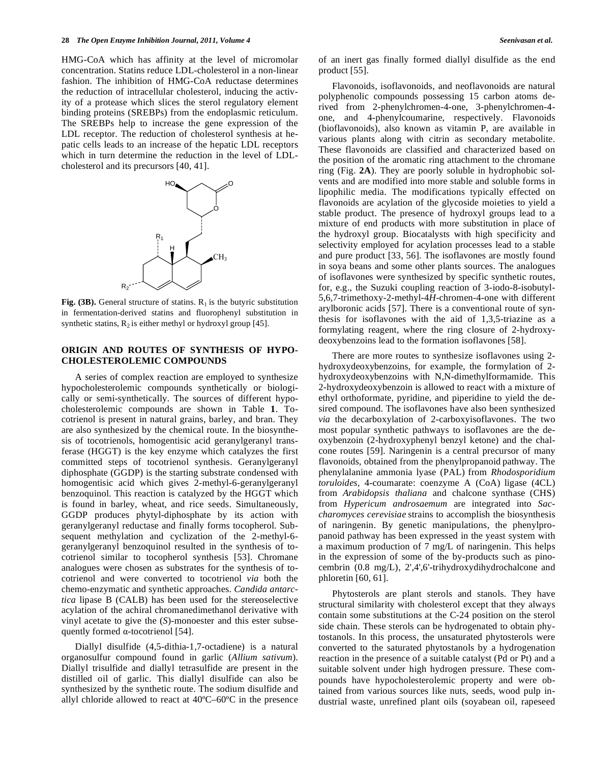HMG-CoA which has affinity at the level of micromolar concentration. Statins reduce LDL-cholesterol in a non-linear fashion. The inhibition of HMG-CoA reductase determines the reduction of intracellular cholesterol, inducing the activity of a protease which slices the sterol regulatory element binding proteins (SREBPs) from the endoplasmic reticulum. The SREBPs help to increase the gene expression of the LDL receptor. The reduction of cholesterol synthesis at hepatic cells leads to an increase of the hepatic LDL receptors which in turn determine the reduction in the level of LDLcholesterol and its precursors [40, 41].



Fig.  $(3B)$ . General structure of statins.  $R_1$  is the butyric substitution in fermentation-derived statins and fluorophenyl substitution in synthetic statins,  $R_2$  is either methyl or hydroxyl group [45].

## **ORIGIN AND ROUTES OF SYNTHESIS OF HYPO-CHOLESTEROLEMIC COMPOUNDS**

 A series of complex reaction are employed to synthesize hypocholesterolemic compounds synthetically or biologically or semi-synthetically. The sources of different hypocholesterolemic compounds are shown in Table **1**. Tocotrienol is present in natural grains, barley, and bran. They are also synthesized by the chemical route. In the biosynthesis of tocotrienols, homogentisic acid geranylgeranyl transferase (HGGT) is the key enzyme which catalyzes the first committed steps of tocotrienol synthesis. Geranylgeranyl diphosphate (GGDP) is the starting substrate condensed with homogentisic acid which gives 2-methyl-6-geranylgeranyl benzoquinol. This reaction is catalyzed by the HGGT which is found in barley, wheat, and rice seeds. Simultaneously, GGDP produces phytyl-diphosphate by its action with geranylgeranyl reductase and finally forms tocopherol. Subsequent methylation and cyclization of the 2-methyl-6 geranylgeranyl benzoquinol resulted in the synthesis of tocotrienol similar to tocopherol synthesis [53]. Chromane analogues were chosen as substrates for the synthesis of tocotrienol and were converted to tocotrienol *via* both the chemo-enzymatic and synthetic approaches. *Candida antarctica* lipase B (CALB) has been used for the stereoselective acylation of the achiral chromanedimethanol derivative with vinyl acetate to give the (*S*)-monoester and this ester subsequently formed  $\alpha$ -tocotrienol [54].

 Diallyl disulfide (4,5-dithia-1,7-octadiene) is a natural organosulfur compound found in garlic (*Allium sativum*). Diallyl trisulfide and diallyl tetrasulfide are present in the distilled oil of garlic. This diallyl disulfide can also be synthesized by the synthetic route. The sodium disulfide and allyl chloride allowed to react at 40ºC–60ºC in the presence of an inert gas finally formed diallyl disulfide as the end product [55].

 Flavonoids, isoflavonoids, and neoflavonoids are natural polyphenolic compounds possessing 15 carbon atoms derived from 2-phenylchromen-4-one, 3-phenylchromen-4 one, and 4-phenylcoumarine, respectively. Flavonoids (bioflavonoids), also known as vitamin P, are available in various plants along with citrin as secondary metabolite. These flavonoids are classified and characterized based on the position of the aromatic ring attachment to the chromane ring (Fig. **2A**). They are poorly soluble in hydrophobic solvents and are modified into more stable and soluble forms in lipophilic media. The modifications typically effected on flavonoids are acylation of the glycoside moieties to yield a stable product. The presence of hydroxyl groups lead to a mixture of end products with more substitution in place of the hydroxyl group. Biocatalysts with high specificity and selectivity employed for acylation processes lead to a stable and pure product [33, 56]. The isoflavones are mostly found in soya beans and some other plants sources. The analogues of isoflavones were synthesized by specific synthetic routes, for, e.g., the Suzuki coupling reaction of 3-iodo-8-isobutyl-5,6,7-trimethoxy-2-methyl-4*H*-chromen-4-one with different arylboronic acids [57]. There is a conventional route of synthesis for isoflavones with the aid of 1,3,5-triazine as a formylating reagent, where the ring closure of 2-hydroxydeoxybenzoins lead to the formation isoflavones [58].

 There are more routes to synthesize isoflavones using 2 hydroxydeoxybenzoins, for example, the formylation of 2 hydroxydeoxybenzoins with N,N-dimethylformamide. This 2-hydroxydeoxybenzoin is allowed to react with a mixture of ethyl orthoformate, pyridine, and piperidine to yield the desired compound. The isoflavones have also been synthesized *via* the decarboxylation of 2-carboxyisoflavones. The two most popular synthetic pathways to isoflavones are the deoxybenzoin (2-hydroxyphenyl benzyl ketone) and the chalcone routes [59]. Naringenin is a central precursor of many flavonoids, obtained from the phenylpropanoid pathway. The phenylalanine ammonia lyase (PAL) from *Rhodosporidium toruloides,* 4-coumarate: coenzyme A (CoA) ligase (4CL) from *Arabidopsis thaliana* and chalcone synthase (CHS) from *Hypericum androsaemum* are integrated into *Saccharomyces cerevisiae* strains to accomplish the biosynthesis of naringenin. By genetic manipulations, the phenylpropanoid pathway has been expressed in the yeast system with a maximum production of 7 mg/L of naringenin. This helps in the expression of some of the by-products such as pinocembrin (0.8 mg/L), 2',4',6'-trihydroxydihydrochalcone and phloretin [60, 61].

 Phytosterols are plant sterols and stanols. They have structural similarity with cholesterol except that they always contain some substitutions at the C-24 position on the sterol side chain. These sterols can be hydrogenated to obtain phytostanols. In this process, the unsaturated phytosterols were converted to the saturated phytostanols by a hydrogenation reaction in the presence of a suitable catalyst (Pd or Pt) and a suitable solvent under high hydrogen pressure. These compounds have hypocholesterolemic property and were obtained from various sources like nuts, seeds, wood pulp industrial waste, unrefined plant oils (soyabean oil, rapeseed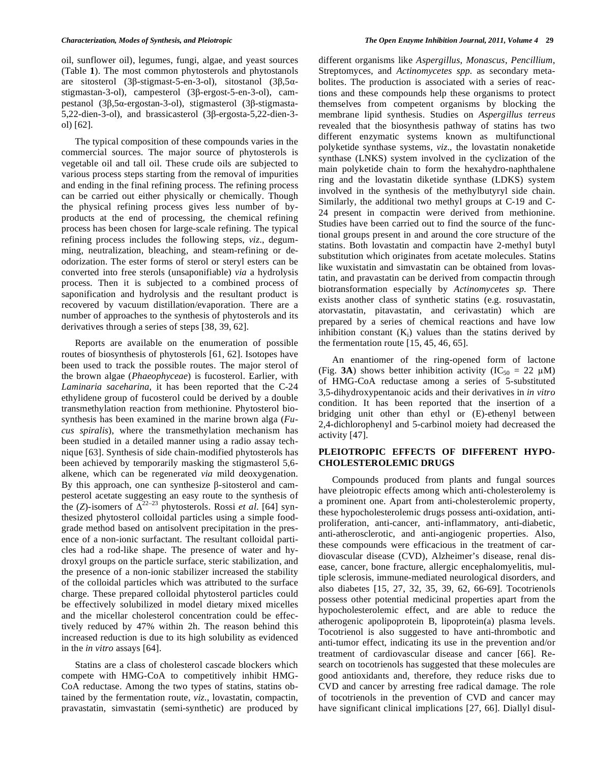oil, sunflower oil), legumes, fungi, algae, and yeast sources (Table **1**). The most common phytosterols and phytostanols are sitosterol (3 $\beta$ -stigmast-5-en-3-ol), sitostanol (3 $\beta$ ,5 $\alpha$ stigmastan-3-ol), campesterol  $(3\beta$ -ergost-5-en-3-ol), campestanol (3β,5α-ergostan-3-ol), stigmasterol (3β-stigmasta- $5,22$ -dien-3-ol), and brassicasterol (3 $\beta$ -ergosta-5,22-dien-3ol) [62].

 The typical composition of these compounds varies in the commercial sources. The major source of phytosterols is vegetable oil and tall oil. These crude oils are subjected to various process steps starting from the removal of impurities and ending in the final refining process. The refining process can be carried out either physically or chemically. Though the physical refining process gives less number of byproducts at the end of processing, the chemical refining process has been chosen for large-scale refining. The typical refining process includes the following steps, *viz*., degumming, neutralization, bleaching, and steam-refining or deodorization. The ester forms of sterol or steryl esters can be converted into free sterols (unsaponifiable) *via* a hydrolysis process. Then it is subjected to a combined process of saponification and hydrolysis and the resultant product is recovered by vacuum distillation/evaporation. There are a number of approaches to the synthesis of phytosterols and its derivatives through a series of steps [38, 39, 62].

 Reports are available on the enumeration of possible routes of biosynthesis of phytosterols [61, 62]. Isotopes have been used to track the possible routes. The major sterol of the brown algae (*Phaeophyceae*) is fucosterol. Earlier, with *Laminaria saceharina*, it has been reported that the C-24 ethylidene group of fucosterol could be derived by a double transmethylation reaction from methionine. Phytosterol biosynthesis has been examined in the marine brown alga (*Fucus spiralis*), where the transmethylation mechanism has been studied in a detailed manner using a radio assay technique [63]. Synthesis of side chain-modified phytosterols has been achieved by temporarily masking the stigmasterol 5,6 alkene, which can be regenerated *via* mild deoxygenation. By this approach, one can synthesize  $\beta$ -sitosterol and campesterol acetate suggesting an easy route to the synthesis of the (*Z*)-isomers of  $\Delta^{22-23}$  phytosterols. Rossi *et al.* [64] synthesized phytosterol colloidal particles using a simple foodgrade method based on antisolvent precipitation in the presence of a non-ionic surfactant. The resultant colloidal particles had a rod-like shape. The presence of water and hydroxyl groups on the particle surface, steric stabilization, and the presence of a non-ionic stabilizer increased the stability of the colloidal particles which was attributed to the surface charge. These prepared colloidal phytosterol particles could be effectively solubilized in model dietary mixed micelles and the micellar cholesterol concentration could be effectively reduced by 47% within 2h. The reason behind this increased reduction is due to its high solubility as evidenced in the *in vitro* assays [64].

 Statins are a class of cholesterol cascade blockers which compete with HMG-CoA to competitively inhibit HMG-CoA reductase. Among the two types of statins, statins obtained by the fermentation route, *viz*., lovastatin, compactin, pravastatin, simvastatin (semi-synthetic) are produced by different organisms like *Aspergillus*, *Monascus*, *Pencillium*, Streptomyces*,* and *Actinomycetes spp.* as secondary metabolites. The production is associated with a series of reactions and these compounds help these organisms to protect themselves from competent organisms by blocking the membrane lipid synthesis. Studies on *Aspergillus terreus* revealed that the biosynthesis pathway of statins has two different enzymatic systems known as multifunctional polyketide synthase systems, *viz*., the lovastatin nonaketide synthase (LNKS) system involved in the cyclization of the main polyketide chain to form the hexahydro-naphthalene ring and the lovastatin diketide synthase (LDKS) system involved in the synthesis of the methylbutyryl side chain. Similarly, the additional two methyl groups at C-19 and C-24 present in compactin were derived from methionine. Studies have been carried out to find the source of the functional groups present in and around the core structure of the statins. Both lovastatin and compactin have 2-methyl butyl substitution which originates from acetate molecules. Statins like wuxistatin and simvastatin can be obtained from lovastatin, and pravastatin can be derived from compactin through biotransformation especially by *Actinomycetes sp.* There exists another class of synthetic statins (e.g. rosuvastatin, atorvastatin, pitavastatin, and cerivastatin) which are prepared by a series of chemical reactions and have low inhibition constant  $(K_i)$  values than the statins derived by the fermentation route [15, 45, 46, 65].

 An enantiomer of the ring-opened form of lactone (Fig. **3A**) shows better inhibition activity (IC<sub>50</sub> = 22  $\mu$ M) of HMG-CoA reductase among a series of 5-substituted 3,5-dihydroxypentanoic acids and their derivatives in *in vitro* condition. It has been reported that the insertion of a bridging unit other than ethyl or (E)-ethenyl between 2,4-dichlorophenyl and 5-carbinol moiety had decreased the activity [47].

# **PLEIOTROPIC EFFECTS OF DIFFERENT HYPO-CHOLESTEROLEMIC DRUGS**

 Compounds produced from plants and fungal sources have pleiotropic effects among which anti-cholesterolemy is a prominent one. Apart from anti-cholesterolemic property, these hypocholesterolemic drugs possess anti-oxidation, antiproliferation, anti-cancer, anti-inflammatory, anti-diabetic, anti-atherosclerotic, and anti-angiogenic properties. Also, these compounds were efficacious in the treatment of cardiovascular disease (CVD), Alzheimer's disease, renal disease, cancer, bone fracture, allergic encephalomyelitis, multiple sclerosis, immune-mediated neurological disorders, and also diabetes [15, 27, 32, 35, 39, 62, 66-69]. Tocotrienols possess other potential medicinal properties apart from the hypocholesterolemic effect, and are able to reduce the atherogenic apolipoprotein B, lipoprotein(a) plasma levels. Tocotrienol is also suggested to have anti-thrombotic and anti-tumor effect, indicating its use in the prevention and/or treatment of cardiovascular disease and cancer [66]. Research on tocotrienols has suggested that these molecules are good antioxidants and, therefore, they reduce risks due to CVD and cancer by arresting free radical damage. The role of tocotrienols in the prevention of CVD and cancer may have significant clinical implications [27, 66]. Diallyl disul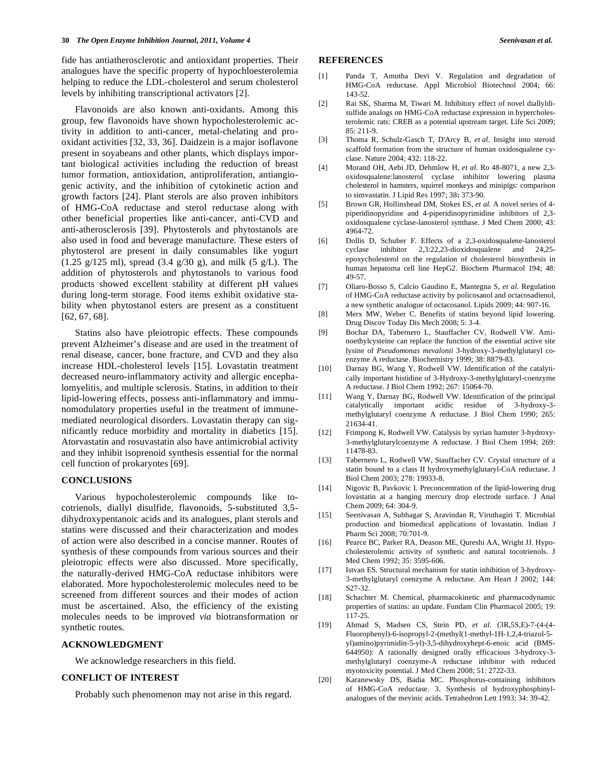fide has antiatherosclerotic and antioxidant properties. Their analogues have the specific property of hypochloesterolemia helping to reduce the LDL-cholesterol and serum cholesterol levels by inhibiting transcriptional activators [2].

 Flavonoids are also known anti-oxidants. Among this group, few flavonoids have shown hypocholesterolemic activity in addition to anti-cancer, metal-chelating and prooxidant activities [32, 33, 36]. Daidzein is a major isoflavone present in soyabeans and other plants, which displays important biological activities including the reduction of breast tumor formation, antioxidation, antiproliferation, antiangiogenic activity, and the inhibition of cytokinetic action and growth factors [24]. Plant sterols are also proven inhibitors of HMG-CoA reductase and sterol reductase along with other beneficial properties like anti-cancer, anti-CVD and anti-atherosclerosis [39]. Phytosterols and phytostanols are also used in food and beverage manufacture. These esters of phytosterol are present in daily consumables like yogurt (1.25 g/125 ml), spread (3.4 g/30 g), and milk (5 g/L). The addition of phytosterols and phytostanols to various food products showed excellent stability at different pH values during long-term storage. Food items exhibit oxidative stability when phytostanol esters are present as a constituent [62, 67, 68].

 Statins also have pleiotropic effects. These compounds prevent Alzheimer's disease and are used in the treatment of renal disease, cancer, bone fracture, and CVD and they also increase HDL-cholesterol levels [15]. Lovastatin treatment decreased neuro-inflammatory activity and allergic encephalomyelitis, and multiple sclerosis. Statins, in addition to their lipid-lowering effects, possess anti-inflammatory and immunomodulatory properties useful in the treatment of immunemediated neurological disorders. Lovastatin therapy can significantly reduce morbidity and mortality in diabetics [15]. Atorvastatin and rosuvastatin also have antimicrobial activity and they inhibit isoprenoid synthesis essential for the normal cell function of prokaryotes [69].

### **CONCLUSIONS**

 Various hypocholesterolemic compounds like tocotrienols, diallyl disulfide, flavonoids, 5-substituted 3,5 dihydroxypentanoic acids and its analogues, plant sterols and statins were discussed and their characterization and modes of action were also described in a concise manner. Routes of synthesis of these compounds from various sources and their pleiotropic effects were also discussed. More specifically, the naturally-derived HMG-CoA reductase inhibitors were elaborated. More hypocholesterolemic molecules need to be screened from different sources and their modes of action must be ascertained. Also, the efficiency of the existing molecules needs to be improved *via* biotransformation or synthetic routes.

### **ACKNOWLEDGMENT**

We acknowledge researchers in this field.

# **CONFLICT OF INTEREST**

Probably such phenomenon may not arise in this regard.

#### **REFERENCES**

- [1] Panda T, Amutha Devi V. Regulation and degradation of HMG-CoA reductase. Appl Microbiol Biotechnol 2004; 66: 143-52.
- [2] Rai SK, Sharma M, Tiwari M. Inhibitory effect of novel diallyldisulfide analogs on HMG-CoA reductase expression in hypercholesterolemic rats: CREB as a potential upstream target. Life Sci 2009; 85: 211-9.
- [3] Thoma R, Schulz-Gasch T, D'Arcy B, *et al*. Insight into steroid scaffold formation from the structure of human oxidosqualene cyclase. Nature 2004; 432: 118-22.
- [4] Morand OH, Aebi JD, Dehmlow H, *et al*. Ro 48-8071, a new 2,3 oxidosqualene:lanosterol cyclase inhibitor lowering plasma cholesterol in hamsters, squirrel monkeys and minipigs: comparison to simvastatin. J Lipid Res 1997; 38**:** 373-90.
- [5] Brown GR, Hollinshead DM, Stokes ES, *et al.* A novel series of 4 piperidinopyridine and 4-piperidinopyrimidine inhibitors of 2,3 oxidosqualene cyclase-lanosterol synthase. J Med Chem 2000; 43: 4964-72.
- [6] Dollis D, Schuber F. Effects of a 2,3-oxidosqualene-lanosterol cyclase inhibitor 2,3:22,23-dioxidosqualene and 24,25 epoxycholesterol on the regulation of cholesterol biosynthesis in human hepatoma cell line HepG2. Biochem Pharmacol 194; 48: 49-57.
- [7] Oliaro-Bosso S, Calcio Gaudino E, Mantegna S, *et al*. Regulation of HMG-CoA reductase activity by policosanol and octacosadienol, a new synthetic analogue of octacosanol. Lipids 2009; 44: 907-16.
- [8] Merx MW, Weber C. Benefits of statins beyond lipid lowering. Drug Discov Today Dis Mech 2008; 5: 3-4.
- [9] Bochar DA, Tabernero L, Stauffacher CV, Rodwell VW. Aminoethylcysteine can replace the function of the essential active site lysine of *Pseudomonas mevalonii* 3-hydroxy-3-methylglutaryl coenzyme A reductase. Biochemistry 1999; 38: 8879-83.
- [10] Darnay BG, Wang Y, Rodwell VW. Identification of the catalytically important histidine of 3-Hydroxy-3-methylglutaryl-coenzyme A reductase. J Biol Chem 1992; 267: 15064-70.
- [11] Wang Y, Darnay BG, Rodwell VW. Identification of the principal catalytically important acidic residue of 3-hydroxy-3 methylglutaryl coenzyme A reductase. J Biol Chem 1990; 265: 21634-41.
- [12] Frimpong K, Rodwell VW. Catalysis by syrian hamster 3-hydroxy-3-methylglutarylcoenzyme A reductase. J Biol Chem 1994; 269: 11478-83.
- [13] Tabernero L, Rodwell VW, Stauffacher CV. Crystal structure of a statin bound to a class II hydroxymethylglutaryl-CoA reductase. J Biol Chem 2003; 278: 19933-8.
- [14] Nigovic B, Pavkovic I. Preconcentration of the lipid-lowering drug lovastatin at a hanging mercury drop electrode surface. J Anal Chem 2009; 64: 304-9.
- [15] Seenivasan A, Subhagar S, Aravindan R, Viruthagiri T. Microbial production and biomedical applications of lovastatin. Indian J Pharm Sci 2008; 70:701-9.
- [16] Pearce BC, Parker RA, Deason ME, Qureshi AA, Wright JJ. Hypocholesterolemic activity of synthetic and natural tocotrienols. J Med Chem 1992; 35: 3595-606.
- [17] Istvan ES. Structural mechanism for statin inhibition of 3-hydroxy-3-methylglutaryl coenzyme A reductase. Am Heart J 2002; 144: S27-32.
- [18] Schachter M. Chemical, pharmacokinetic and pharmacodynamic properties of statins: an update. Fundam Clin Pharmacol 2005; 19: 117-25.
- [19] Ahmad S, Madsen CS, Stein PD, *et al*. (3R,5S,E)-7-(4-(4- Fluorophenyl)-6-isopropyl-2-(methyl(1-methyl-1H-1,2,4-triazol-5 yl)amino)pyrimidin-5-yl)-3,5-dihydroxyhept-6-enoic acid (BMS-644950): A rationally designed orally efficacious 3-hydroxy-3 methylglutaryl coenzyme-A reductase inhibitor with reduced myotoxicity potential. J Med Chem 2008; 51: 2722-33.
- [20] Karanewsky DS, Badia MC. Phosphorus-containing inhibitors of HMG-CoA reductase. 3. Synthesis of hydroxyphosphinylanalogues of the mevinic acids. Tetrahedron Lett 1993; 34: 39-42.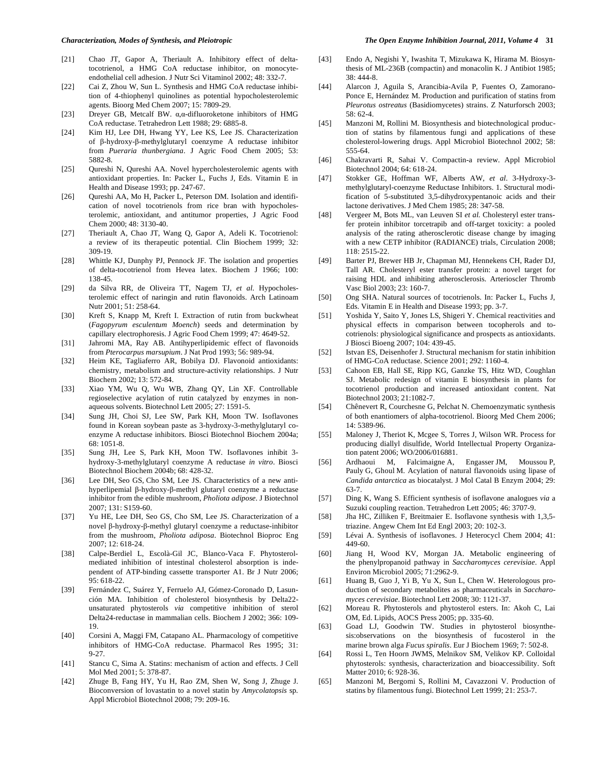- [21] Chao JT, Gapor A, Theriault A. Inhibitory effect of deltatocotrienol, a HMG CoA reductase inhibitor, on monocyteendothelial cell adhesion. J Nutr Sci Vitaminol 2002; 48: 332-7.
- [22] Cai Z, Zhou W, Sun L. Synthesis and HMG CoA reductase inhibition of 4-thiophenyl quinolines as potential hypocholesterolemic agents. Bioorg Med Chem 2007; 15: 7809-29.
- [23] Dreyer GB, Metcalf BW.  $\alpha$ , $\alpha$ -difluoroketone inhibitors of HMG CoA reductase. Tetrahedron Lett 1988; 29: 6885-8.
- [24] Kim HJ, Lee DH, Hwang YY, Lee KS, Lee JS. Characterization of β-hydroxy-β-methylglutaryl coenzyme A reductase inhibitor from *Pueraria thunbergiana*. J Agric Food Chem 2005; 53: 5882-8.
- [25] Qureshi N, Qureshi AA. Novel hypercholesterolemic agents with antioxidant properties. In: Packer L, Fuchs J, Eds. Vitamin E in Health and Disease 1993; pp. 247-67.
- [26] Qureshi AA, Mo H, Packer L, Peterson DM. Isolation and identification of novel tocotrienols from rice bran with hypocholesterolemic, antioxidant, and antitumor properties, J Agric Food Chem 2000; 48: 3130-40.
- [27] Theriault A, Chao JT, Wang Q, Gapor A, Adeli K. Tocotrienol: a review of its therapeutic potential. Clin Biochem 1999; 32: 309-19.
- [28] Whittle KJ, Dunphy PJ, Pennock JF. The isolation and properties of delta-tocotrienol from Hevea latex. Biochem J 1966; 100: 138-45.
- [29] da Silva RR, de Oliveira TT, Nagem TJ, *et al*. Hypocholesterolemic effect of naringin and rutin flavonoids. Arch Latinoam Nutr 2001; 51: 258-64.
- [30] Kreft S, Knapp M, Kreft I. Extraction of rutin from buckwheat (*Fagopyrum esculentum Moench*) seeds and determination by capillary electrophoresis. J Agric Food Chem 1999; 47: 4649-52.
- [31] Jahromi MA, Ray AB. Antihyperlipidemic effect of flavonoids from *Pterocarpus marsupium*. J Nat Prod 1993; 56: 989-94.
- [32] Heim KE, Tagliaferro AR, Bobilya DJ. Flavonoid antioxidants: chemistry, metabolism and structure-activity relationships. J Nutr Biochem 2002; 13: 572-84.
- [33] Xiao YM, Wu Q, Wu WB, Zhang QY, Lin XF. Controllable regioselective acylation of rutin catalyzed by enzymes in nonaqueous solvents. Biotechnol Lett 2005; 27: 1591-5.
- [34] Sung JH, Choi SJ, Lee SW, Park KH, Moon TW. Isoflavones found in Korean soybean paste as 3-hydroxy-3-methylglutaryl coenzyme A reductase inhibitors. Biosci Biotechnol Biochem 2004a; 68: 1051-8.
- [35] Sung JH, Lee S, Park KH, Moon TW. Isoflavones inhibit 3 hydroxy-3-methylglutaryl coenzyme A reductase *in vitro*. Biosci Biotechnol Biochem 2004b; 68: 428-32.
- [36] Lee DH, Seo GS, Cho SM, Lee JS. Characteristics of a new antihyperlipemial β-hydroxy-β-methyl glutaryl coenzyme a reductase inhibitor from the edible mushroom, *Pholiota adipose*. J Biotechnol 2007; 131: S159-60.
- [37] Yu HE, Lee DH, Seo GS, Cho SM, Lee JS. Characterization of a novel  $\beta$ -hydroxy- $\beta$ -methyl glutaryl coenzyme a reductase-inhibitor from the mushroom, *Pholiota adiposa*. Biotechnol Bioproc Eng 2007; 12: 618-24.
- [38] Calpe-Berdiel L, Escolà-Gil JC, Blanco-Vaca F. Phytosterolmediated inhibition of intestinal cholesterol absorption is independent of ATP-binding cassette transporter A1. Br J Nutr 2006;  $95.618-22.$
- [39] Fernández C, Suárez Y, Ferruelo AJ, Gómez-Coronado D, Lasunción MA. Inhibition of cholesterol biosynthesis by Delta22 unsaturated phytosterols *via* competitive inhibition of sterol Delta24-reductase in mammalian cells. Biochem J 2002; 366: 109- 19.
- [40] Corsini A, Maggi FM, Catapano AL. Pharmacology of competitive inhibitors of HMG-CoA reductase. Pharmacol Res 1995; 31: 9-27.
- [41] Stancu C, Sima A. Statins: mechanism of action and effects. J Cell Mol Med 2001; 5: 378-87.
- [42] Zhuge B, Fang HY, Yu H, Rao ZM, Shen W, Song J, Zhuge J. Bioconversion of lovastatin to a novel statin by *Amycolatopsis* sp*.* Appl Microbiol Biotechnol 2008; 79: 209-16.
- [43] Endo A, Negishi Y, Iwashita T, Mizukawa K, Hirama M. Biosynthesis of ML-236B (compactin) and monacolin K. J Antibiot 1985; 38: 444-8.
- [44] Alarcon J, Aguila S, Arancibia-Avila P, Fuentes O, Zamorano-Ponce E, Hernández M. Production and purification of statins from *Pleurotus ostreatus* (Basidiomycetes) strains. Z Naturforsch 2003; 58: 62-4.
- [45] Manzoni M, Rollini M. Biosynthesis and biotechnological production of statins by filamentous fungi and applications of these cholesterol-lowering drugs. Appl Microbiol Biotechnol 2002; 58: 555-64.
- [46] Chakravarti R, Sahai V. Compactin-a review. Appl Microbiol Biotechnol 2004; 64: 618-24.
- [47] Stokker GE, Hoffman WF, Alberts AW, *et al*. 3-Hydroxy-3 methylglutaryl-coenzyme Reductase Inhibitors. 1. Structural modification of 5-substituted 3,5-dihydroxypentanoic acids and their lactone derivatives. J Med Chem 1985; 28: 347-58.
- [48] Vergeer M, Bots ML, van Leuven SI *et al.* Cholesteryl ester transfer protein inhibitor torcetrapib and off-target toxicity: a pooled analysis of the rating atherosclerotic disease change by imaging with a new CETP inhibitor (RADIANCE) trials, Circulation 2008; 118: 2515-22.
- [49] Barter PJ, Brewer HB Jr, Chapman MJ, Hennekens CH, Rader DJ, Tall AR. Cholesteryl ester transfer protein: a novel target for raising HDL and inhibiting atherosclerosis. Arterioscler Thromb Vasc Biol 2003; 23: 160-7.
- [50] Ong SHA. Natural sources of tocotrienols. In: Packer L, Fuchs J, Eds. Vitamin E in Health and Disease 1993; pp. 3-7.
- [51] Yoshida Y, Saito Y, Jones LS, Shigeri Y. Chemical reactivities and physical effects in comparison between tocopherols and tocotrienols: physiological significance and prospects as antioxidants. J Biosci Bioeng 2007; 104: 439-45.
- [52] Istvan ES, Deisenhofer J. Structural mechanism for statin inhibition of HMG-CoA reductase. Science 2001; 292: 1160-4.
- [53] Cahoon EB, Hall SE, Ripp KG, Ganzke TS, Hitz WD, Coughlan SJ. Metabolic redesign of vitamin E biosynthesis in plants for tocotrienol production and increased antioxidant content. Nat Biotechnol 2003; 21:1082-7.
- [54] Chênevert R, Courchesne G, Pelchat N. Chemoenzymatic synthesis of both enantiomers of alpha-tocotrienol. Bioorg Med Chem 2006; 14: 5389-96.
- [55] Maloney J, Theriot K, Mcgee S, Torres J, Wilson WR. Process for producing diallyl disulfide, World Intellectual Property Organization patent 2006; WO/2006/016881.
- [56] Ardhaoui M, Falcimaigne A, Engasser JM, Moussou P, Pauly G, Ghoul M. Acylation of natural flavonoids using lipase of *Candida antarctica* as biocatalyst. J Mol Catal B Enzym 2004; 29: 63-7.
- [57] Ding K, Wang S. Efficient synthesis of isoflavone analogues *via* a Suzuki coupling reaction. Tetrahedron Lett 2005; 46: 3707-9.
- [58] Jha HC, Zilliken F, Breitmaier E. Isoflavone synthesis with 1,3,5 triazine. Angew Chem Int Ed Engl 2003; 20: 102-3.
- [59] Lévai A. Synthesis of isoflavones. J Heterocycl Chem 2004; 41: 449-60.
- [60] Jiang H, Wood KV, Morgan JA. Metabolic engineering of the phenylpropanoid pathway in *Saccharomyces cerevisiae*. Appl Environ Microbiol 2005; 71:2962-9.
- [61] Huang B, Guo J, Yi B, Yu X, Sun L, Chen W. Heterologous production of secondary metabolites as pharmaceuticals in *Saccharomyces cerevisiae*. Biotechnol Lett 2008; 30: 1121-37.
- [62] Moreau R. Phytosterols and phytosterol esters. In: Akoh C, Lai OM, Ed. Lipids, AOCS Press 2005; pp. 335-60.
- [63] Goad LJ, Goodwin TW. Studies in phytosterol biosynthesis:observations on the biosynthesis of fucosterol in the marine brown alga *Fucus spiralis*. Eur J Biochem 1969; 7: 502-8.
- [64] Rossi L, Ten Hoorn JWMS, Melnikov SM, Velikov KP. Colloidal phytosterols: synthesis, characterization and bioaccessibility. Soft Matter 2010; 6: 928-36.
- [65] Manzoni M, Bergomi S, Rollini M, Cavazzoni V. Production of statins by filamentous fungi. Biotechnol Lett 1999; 21: 253-7.